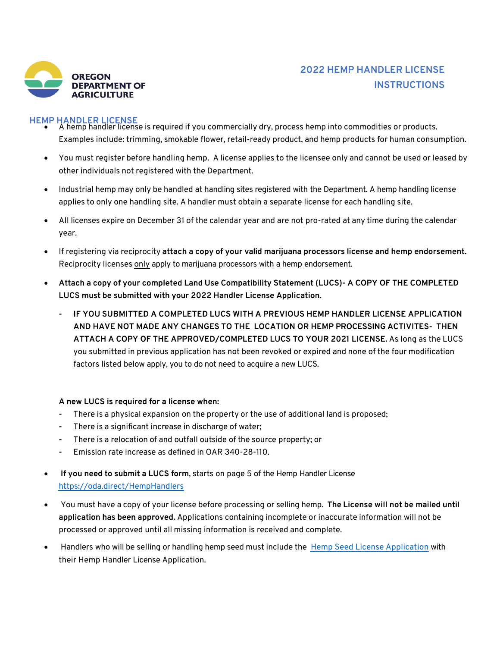

# **2022 HEMP HANDLER LICENSE INSTRUCTIONS**

- **HEMP HANDLER LICENSE** A hemp handler license is required if you commercially dry, process hemp into commodities or products. Examples include: trimming, smokable flower, retail-ready product, and hemp products for human consumption.
	- You must register before handling hemp. A license applies to the licensee only and cannot be used or leased by other individuals not registered with the Department.
	- Industrial hemp may only be handled at handling sites registered with the Department. A hemp handling license applies to only one handling site. A handler must obtain a separate license for each handling site.
	- All licenses expire on December 31 of the calendar year and are not pro-rated at any time during the calendar year.
	- If registering via reciprocity **attach a copy of your valid marijuana processors license and hemp endorsement.** Reciprocity licenses only apply to marijuana processors with a hemp endorsement.
	- **Attach a copy of your completed Land Use Compatibility Statement (LUCS)- A COPY OF THE COMPLETED LUCS must be submitted with your 2022 Handler License Application.**
		- **- IF YOU SUBMITTED A COMPLETED LUCS WITH A PREVIOUS HEMP HANDLER LICENSE APPLICATION AND HAVE NOT MADE ANY CHANGES TO THE LOCATION OR HEMP PROCESSING ACTIVITES- THEN ATTACH A COPY OF THE APPROVED/COMPLETED LUCS TO YOUR 2021 LICENSE.** As long as the LUCS you submitted in previous application has not been revoked or expired and none of the four modification factors listed below apply, you to do not need to acquire a new LUCS.

## **A new LUCS is required for a license when:**

- **-** There is a physical expansion on the property or the use of additional land is proposed;
- **-** There is a significant increase in discharge of water;
- **-** There is a relocation of and outfall outside of the source property; or
- **-** Emission rate increase as defined in OAR 340-28-110.
- **If you need to submit a LUCS form**, starts on page 5 of the Hemp Handler License https://oda.direct/HempHandlers
- You must have a copy of your license before processing or selling hemp. **The License will not be mailed until application has been approved.** Applications containing incomplete or inaccurate information will not be processed or approved until all missing information is received and complete.
- Handlers who will be selling or handling hemp seed must include the Hemp Seed License Application with their Hemp Handler License Application.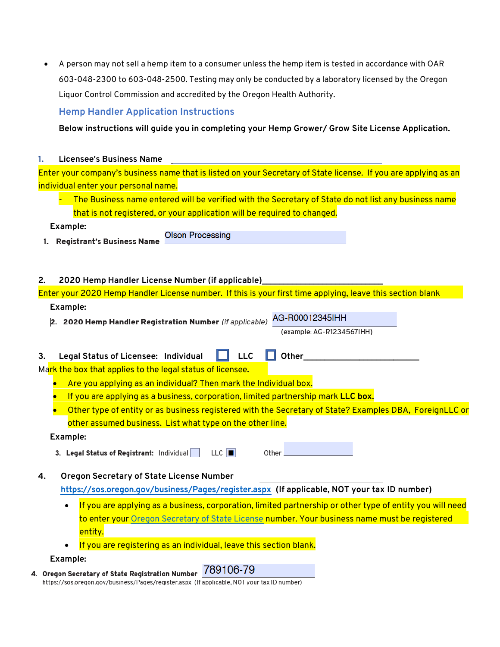• A person may not sell a hemp item to a consumer unless the hemp item is tested in accordance with OAR 603-048-2300 to 603-048-2500. Testing may only be conducted by a laboratory licensed by the Oregon Liquor Control Commission and accredited by the Oregon Health Authority.

# **Hemp Handler Application Instructions**

**Below instructions will guide you in completing your Hemp Grower/ Grow Site License Application.**

#### **1. Licensee's Business Name**

|                                      | Enter your company's business name that is listed on your Secretary of State license. If you are applying as an |  |
|--------------------------------------|-----------------------------------------------------------------------------------------------------------------|--|
| individual enter your personal name. |                                                                                                                 |  |

The Business name entered will be verified with the Secretary of State do not list any business name that is not registered, or your application will be required to changed.

## **Example:**

**Olson Processing** 1. Registrant's Business Name

## **2. 2020 Hemp Handler License Number (if applicable)\_\_\_\_\_\_\_\_\_\_\_\_\_\_\_\_\_\_\_\_\_\_\_\_\_\_\_\_**

Enter your 2020 Hemp Handler License number. If this is your first time applying, leave this section blank **Example:**

AG-R00012345IHH 2. 2020 Hemp Handler Registration Number (if applicable)

(example: AG-R1234567IHH)

|  | 3. Legal Status of Licensee: Individual I LLC Dother |  |  |  |  |
|--|------------------------------------------------------|--|--|--|--|
|--|------------------------------------------------------|--|--|--|--|

Mark the box that applies to the legal status of licensee**.** 

- Are you applying as an individual? Then mark the Individual box.
- If you are applying as a business, corporation, limited partnership mark **LLC box.**
- Other type of entity or as business registered with the Secretary of State? Examples DBA, ForeignLLC or other assumed business. List what type on the other line.

## **Example:**

3. Legal Status of Registrant: Individual  $\Box$  LLC  $\Box$ Other

**4. Oregon Secretary of State License Number**

**https://sos.oregon.gov/business/Pages/register.aspx (If applicable, NOT your tax ID number)**

- If you are applying as a business, corporation, limited partnership or other type of entity you will need to enter your Oregon Secretary of State License number. Your business name must be registered entity.
- If you are registering as an individual, leave this section blank.

## **Example:**

4. Oregon Secretary of State Registration Number 789106-79 https://sos.oregon.gov/business/Pages/register.aspx (If applicable, NOT your tax ID number)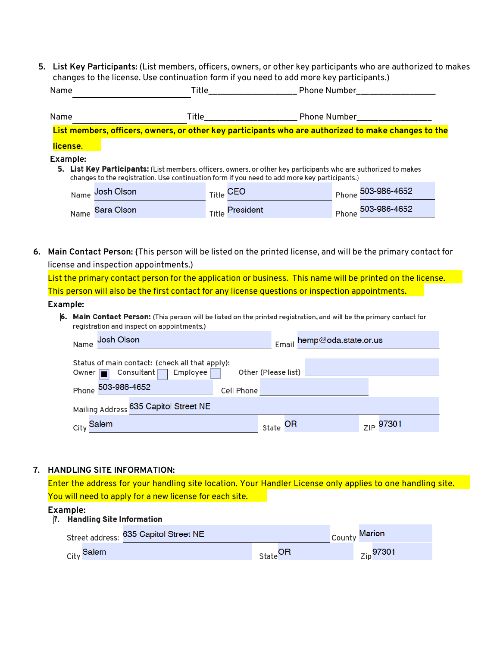**5. List Key Participants:** (List members, officers, owners, or other key participants who are authorized to makes changes to the license. Use continuation form if you need to add more key participants.)

| Name     | Title                                                                                                                                                                                                             |       | Phone Number        |       |              |  |
|----------|-------------------------------------------------------------------------------------------------------------------------------------------------------------------------------------------------------------------|-------|---------------------|-------|--------------|--|
| Name     | Title                                                                                                                                                                                                             |       | <b>Phone Number</b> |       |              |  |
|          | List members, officers, owners, or other key participants who are authorized to make changes to the                                                                                                               |       |                     |       |              |  |
| license. |                                                                                                                                                                                                                   |       |                     |       |              |  |
| Example: | 5. List Key Participants: (List members, officers, owners, or other key participants who are authorized to makes<br>changes to the registration. Use continuation form if you need to add more key participants.) |       |                     |       |              |  |
| Name     | Josh Olson                                                                                                                                                                                                        |       | Title CEO           | Phone | 503-986-4652 |  |
| Name     | Sara Olson                                                                                                                                                                                                        | Title | President           | Phone | 503-986-4652 |  |

**6. Main Contact Person: (**This person will be listed on the printed license, and will be the primary contact for license and inspection appointments.)

List the primary contact person for the application or business. This name will be printed on the license. This person will also be the first contact for any license questions or inspection appointments.

#### **Example:**

6. Main Contact Person: (This person will be listed on the printed registration, and will be the primary contact for registration and inspection appointments.)

| Josh Olson<br>Name                                                               |                     | Email hemp@oda.state.or.us |
|----------------------------------------------------------------------------------|---------------------|----------------------------|
| Status of main contact: (check all that apply):<br>Owner   Consultant   Employee | Other (Please list) |                            |
| Phone 503-986-4652                                                               | Cell Phone          |                            |
| Mailing Address 635 Capitol Street NE                                            |                     |                            |
| City Salem                                                                       | state OR            | ZIP 97301                  |

#### **7. HANDLING SITE INFORMATION:**

Enter the address for your handling site location. Your Handler License only applies to one handling site. You will need to apply for a new license for each site.

**Example:**<br>7. Handling Site Information

| Street address: 635 Capitol Street NE |                     | County Marion  |
|---------------------------------------|---------------------|----------------|
| <sub>City</sub> Salem                 | State <sup>OR</sup> | $_{Zip}$ 97301 |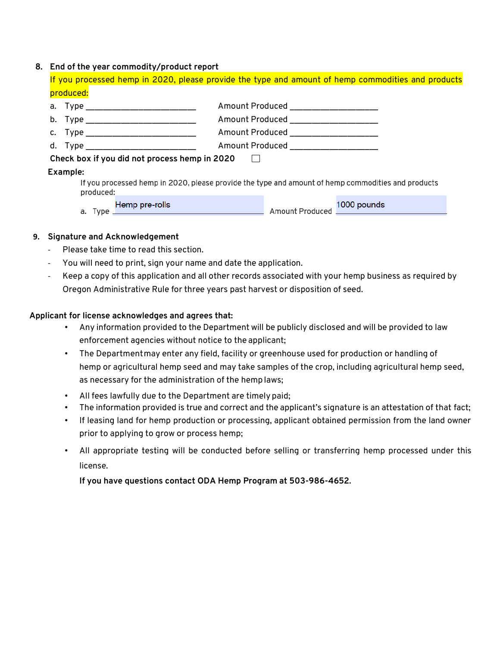#### **8. End of the year commodity/product report**

If you processed hemp in 2020, please provide the type and amount of hemp commodities and products produced:

| а. Туре ___________________________           | Amount Produced _____________________                                                              |
|-----------------------------------------------|----------------------------------------------------------------------------------------------------|
| b. Type _____________________________         | Amount Produced ___________________                                                                |
| с. Туре __________________________            | Amount Produced ____________________                                                               |
| d. Type __________________________________    | Amount Produced ____________________                                                               |
| Check box if you did not process hemp in 2020 |                                                                                                    |
| Example:                                      |                                                                                                    |
| produced:                                     | If you processed hemp in 2020, please provide the type and amount of hemp commodities and products |

|      | Hemp pre-rolls |                 | 1000 pounds |
|------|----------------|-----------------|-------------|
| Type |                | Amount Produced |             |

#### **9. Signature and Acknowledgement**

- Please take time to read this section.
- You will need to print, sign your name and date the application.
- Keep a copy of this application and all other records associated with your hemp business as required by Oregon Administrative Rule for three years past harvest or disposition of seed.

#### **Applicant for license acknowledges and agrees that:**

- Any information provided to the Department will be publicly disclosed and will be provided to law enforcement agencies without notice to the applicant;
- The Departmentmay enter any field, facility or greenhouse used for production or handling of hemp or agricultural hemp seed and may take samples of the crop, including agricultural hemp seed, as necessary for the administration of the hemp laws;
- All fees lawfully due to the Department are timely paid;
- The information provided is true and correct and the applicant's signature is an attestation of that fact;
- If leasing land for hemp production or processing, applicant obtained permission from the land owner prior to applying to grow or process hemp;
- All appropriate testing will be conducted before selling or transferring hemp processed under this license.

**If you have questions contact ODA Hemp Program at 503-986-4652.**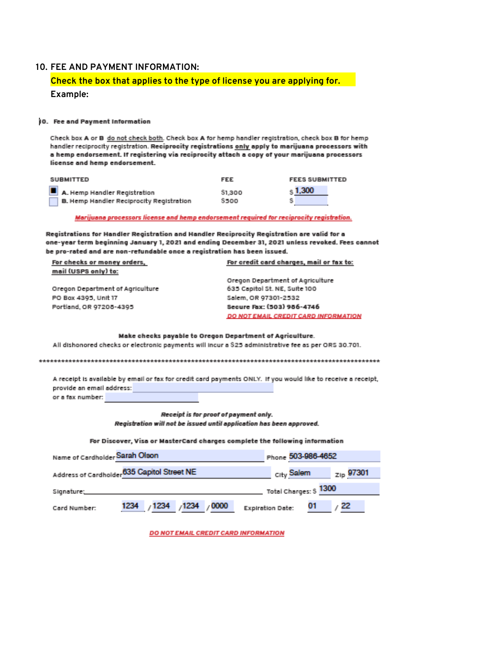#### **10. FEE AND PAYMENT INFORMATION:**

# Check the box that applies to the type of license you are applying for. Example:

#### 10. Fee and Payment Information

Check box A or B do not check both. Check box A for hemp handler registration, check box B for hemp handler reciprocity registration. Reciprocity registrations only apply to marijuana processors with a hemp endorsement. It registering via reciprocity attach a copy of your marijuana processors license and hemp endorsement.

| SUBMITTED                                | FEE     | <b>FEES SUBMITTED</b> |
|------------------------------------------|---------|-----------------------|
| A. Hemp Handler Registration             | \$1,300 | $s$ 1,300             |
| B. Hemp Handler Reciprocity Registration | \$500   |                       |

#### Marijuana processors license and hemp endorsement required for reciprocity registration.

Registrations for Handler Registration and Handler Reciprocity Registration are valid for a one-year term beginning January 1, 2021 and ending December 31, 2021 unless revoked. Fees cannot be pro-rated and are non-refundable once a registration has been issued.

| For checks or money orders,      | For credit card charges, mail or fax to: |
|----------------------------------|------------------------------------------|
| mail (USPS only) to:             |                                          |
|                                  | Oregon Department of Agriculture         |
| Oregon Department of Agriculture | 635 Capitol St. NE, Suite 100            |
| PO Box 4395, Unit 17             | Salem, OR 97301-2532                     |
| Portland, OR 97208-4395          | Secure Fax: (503) 956-4746               |
|                                  | DO NOT EMAIL CREDIT CARD INFORMATION     |
|                                  |                                          |

#### Make checks payable to Oregon Department of Agriculture.

All dishonored checks or electronic payments will incur a \$25 administrative fee as per ORS 30.701.

A receipt is available by email or fax for credit card payments ONLY. If you would like to receive a receipt, provide an email address:

or a fax number:

Receipt is for proof of payment only. Registration will not be issued until application has been approved.

#### For Discover, Visa or MasterCard charges complete the following information

| Name of Cardholder Sarah Olson                         |                           |  | Phone 503-986-4652     |                  |  |
|--------------------------------------------------------|---------------------------|--|------------------------|------------------|--|
| Address of Cardholder <sup>635</sup> Capitol Street NE |                           |  | City Salem             | $_{ZID}$ 97301   |  |
|                                                        |                           |  | Total Charges: \$ 1300 |                  |  |
| Card Number:                                           | 1234 / 1234 / 1234 / 0000 |  | Expiration Date: 01    | $\rightarrow$ 22 |  |

DO NOT EMAIL CREDIT CARD INFORMATION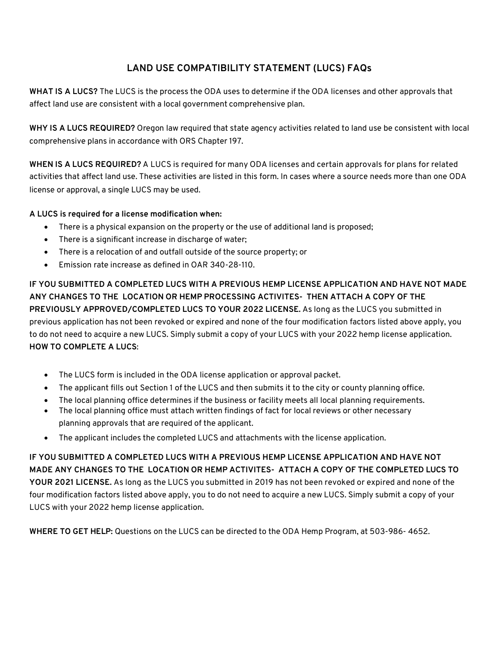# **LAND USE COMPATIBILITY STATEMENT (LUCS) FAQs**

**WHAT IS A LUCS?** The LUCS is the process the ODA uses to determine if the ODA licenses and other approvals that affect land use are consistent with a local government comprehensive plan.

**WHY IS A LUCS REQUIRED?** Oregon law required that state agency activities related to land use be consistent with local comprehensive plans in accordance with ORS Chapter 197.

**WHEN IS A LUCS REQUIRED?** A LUCS is required for many ODA licenses and certain approvals for plans for related activities that affect land use. These activities are listed in this form. In cases where a source needs more than one ODA license or approval, a single LUCS may be used.

## **A LUCS is required for a license modification when:**

- There is a physical expansion on the property or the use of additional land is proposed;
- There is a significant increase in discharge of water;
- There is a relocation of and outfall outside of the source property; or
- Emission rate increase as defined in OAR 340-28-110.

**IF YOU SUBMITTED A COMPLETED LUCS WITH A PREVIOUS HEMP LICENSE APPLICATION AND HAVE NOT MADE ANY CHANGES TO THE LOCATION OR HEMP PROCESSING ACTIVITES- THEN ATTACH A COPY OF THE PREVIOUSLY APPROVED/COMPLETED LUCS TO YOUR 2022 LICENSE.** As long as the LUCS you submitted in previous application has not been revoked or expired and none of the four modification factors listed above apply, you to do not need to acquire a new LUCS. Simply submit a copy of your LUCS with your 2022 hemp license application. **HOW TO COMPLETE A LUCS**:

- The LUCS form is included in the ODA license application or approval packet.
- The applicant fills out Section 1 of the LUCS and then submits it to the city or county planning office.
- The local planning office determines if the business or facility meets all local planning requirements.
- The local planning office must attach written findings of fact for local reviews or other necessary planning approvals that are required of the applicant.
- The applicant includes the completed LUCS and attachments with the license application.

**IF YOU SUBMITTED A COMPLETED LUCS WITH A PREVIOUS HEMP LICENSE APPLICATION AND HAVE NOT MADE ANY CHANGES TO THE LOCATION OR HEMP ACTIVITES- ATTACH A COPY OF THE COMPLETED LUCS TO YOUR 2021 LICENSE.** As long as the LUCS you submitted in 2019 has not been revoked or expired and none of the four modification factors listed above apply, you to do not need to acquire a new LUCS. Simply submit a copy of your LUCS with your 2022 hemp license application.

**WHERE TO GET HELP:** Questions on the LUCS can be directed to the ODA Hemp Program, at 503-986- 4652.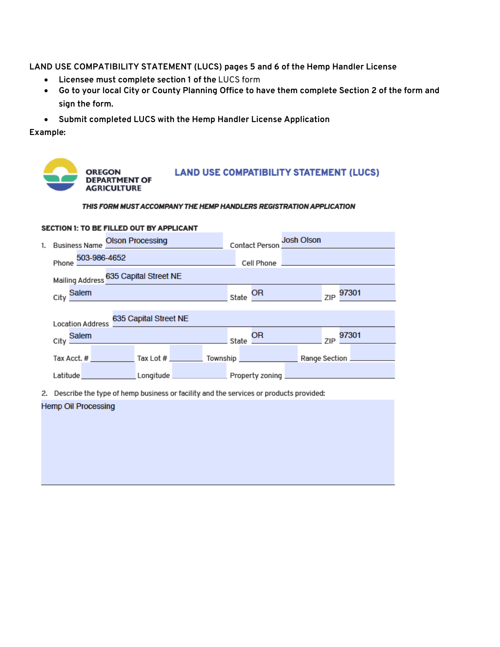**LAND USE COMPATIBILITY STATEMENT (LUCS) pages 5 and 6 of the Hemp Handler License**

- **Licensee must complete section 1 of the** LUCS form
- Go to your local City or County Planning Office to have them complete Section 2 of the form and **sign the form.**
- **Submit completed LUCS with the Hemp Handler License Application**

**Example:**



THIS FORM MUST ACCOMPANY THE HEMP HANDLERS REGISTRATION APPLICATION

|    | <b>SECTION 1: TO BE FILLED OUT BY APPLICANT</b>        |                                                                                                                                                                                                                                                                                               |  |       |                                                           |                   |  |           |  |
|----|--------------------------------------------------------|-----------------------------------------------------------------------------------------------------------------------------------------------------------------------------------------------------------------------------------------------------------------------------------------------|--|-------|-----------------------------------------------------------|-------------------|--|-----------|--|
| 1. | <b>Business Name Olson Processing</b>                  |                                                                                                                                                                                                                                                                                               |  |       | Contact Person JOSN OISON                                 | <b>Josh Olson</b> |  |           |  |
|    | Phone 503-986-4652                                     |                                                                                                                                                                                                                                                                                               |  |       | Cell Phone <b>Committee Committee Committee Committee</b> |                   |  |           |  |
|    | Mailing Address 635 Capital Street NE                  |                                                                                                                                                                                                                                                                                               |  |       |                                                           |                   |  |           |  |
|    | City Salem                                             | $\frac{1}{2}$ and $\frac{1}{2}$ and $\frac{1}{2}$ and $\frac{1}{2}$ and $\frac{1}{2}$ and $\frac{1}{2}$ and $\frac{1}{2}$ and $\frac{1}{2}$ and $\frac{1}{2}$ and $\frac{1}{2}$ and $\frac{1}{2}$ and $\frac{1}{2}$ and $\frac{1}{2}$ and $\frac{1}{2}$ and $\frac{1}{2}$ and $\frac{1}{2}$ a |  | State | OR D                                                      |                   |  | ZIP 97301 |  |
|    |                                                        |                                                                                                                                                                                                                                                                                               |  |       |                                                           |                   |  |           |  |
|    | <b>Location Address</b>                                | 635 Capital Street NE                                                                                                                                                                                                                                                                         |  |       |                                                           |                   |  |           |  |
|    | City Salem                                             |                                                                                                                                                                                                                                                                                               |  |       | State $\frac{CH}{CH}$ $\frac{97301}{$                     |                   |  |           |  |
|    | Tax Acct. # Tax Lot # Tax Lot # Township Range Section |                                                                                                                                                                                                                                                                                               |  |       |                                                           |                   |  |           |  |
|    |                                                        |                                                                                                                                                                                                                                                                                               |  |       |                                                           |                   |  |           |  |
|    |                                                        |                                                                                                                                                                                                                                                                                               |  |       |                                                           |                   |  |           |  |

2. Describe the type of hemp business or facility and the services or products provided:

#### **Hemp Oil Processing**